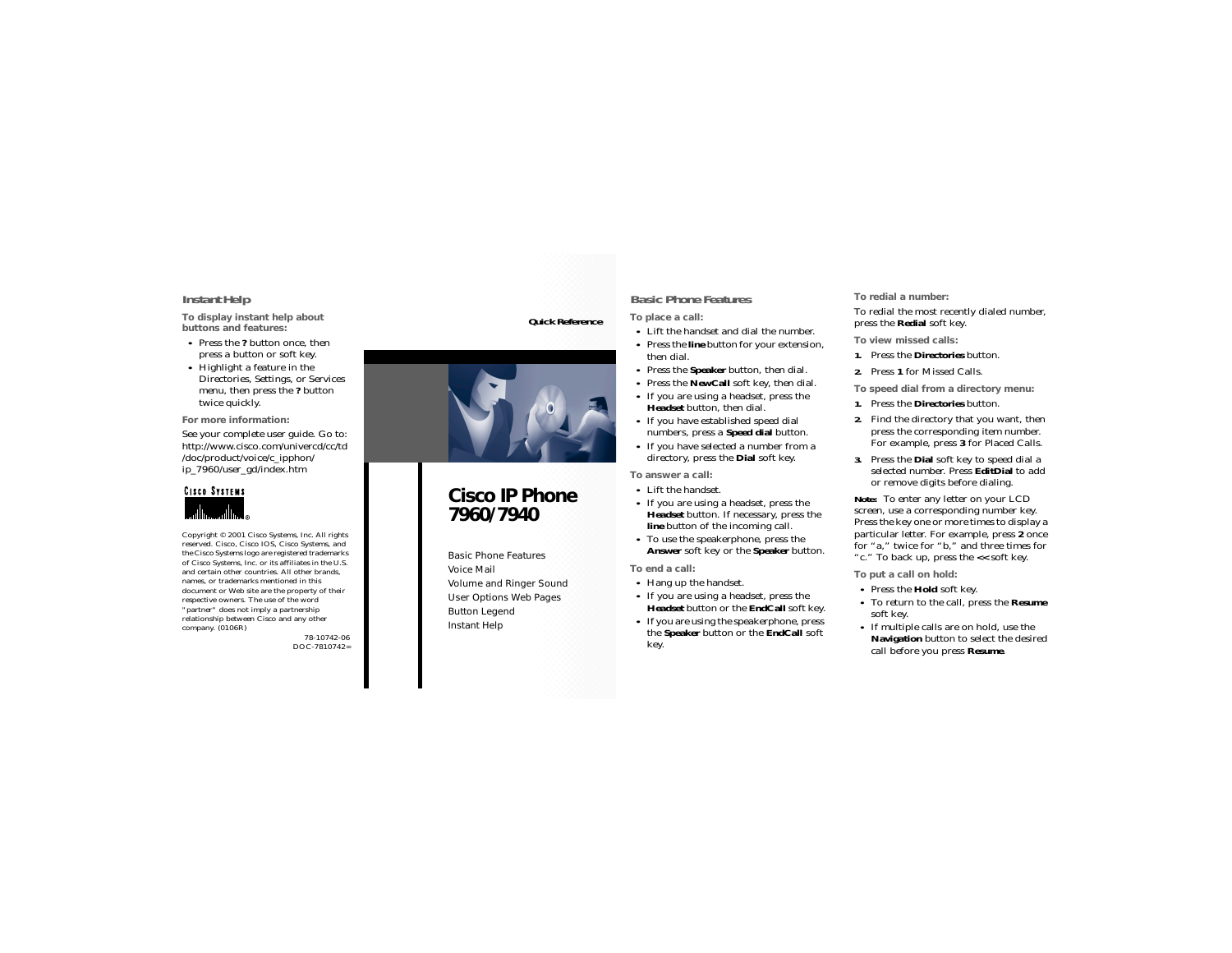### <span id="page-0-1"></span>**Instant Help**

**To display instant help about buttons and features:**

- **•** Press the **?** button once, then press a button or soft key.
- **•** Highlight a feature in the Directories, Settings, or Services menu, then press the **?** button twice quickly.

**For more information:**

See your complete user guide. Go to: http://www.cisco.com/univercd/cc/td /doc/product/voice/c\_ipphon/ ip\_7960/user\_gd/index.htm



Copyright © 2001 Cisco Systems, Inc. All rights reserved. Cisco, Cisco IOS, Cisco Systems, and the Cisco Systems logo are registered trademarks of Cisco Systems, Inc. or its affiliates in the U.S. and certain other countries. All other brands, names, or trademarks mentioned in this document or Web site are the property of their respective owners. The use of the word "partner" does not imply a partnership relationship between Cisco and any other company. (0106R)

> 78-10742-06DOC-7810742=

### **Quick Reference**



# **Cisco IP Phone 7960/7940**

[Basic Phone Features](#page-0-0)[Voice Mail](#page-1-0)[Volume and Ringer Sound](#page-1-1) [User Options Web Pages](#page-1-2) [Button Legend](#page-1-3) [Instant Help](#page-0-1)

### <span id="page-0-0"></span>**Basic Phone Features**

**To place a call:**

- **•** Lift the handset and dial the number.
- **•** Press the **line** button for your extension, then dial.
- **•** Press the **Speaker** button, then dial.
- **•** Press the **NewCall** soft key, then dial.
- **•** If you are using a headset, press the **Headset** button, then dial.
- **•** If you have established speed dial numbers, press a **Speed dial** button.
- **•** If you have selected a number from a directory, press the **Dial** soft key.

**To answer a call:**

- **•** Lift the handset.
- **•** If you are using a headset, press the **Headset** button. If necessary, press the **line** button of the incoming call.
- **•** To use the speakerphone, press the **Answer** soft key or the **Speaker** button.

**To end a call:** 

- **•** Hang up the handset.
- **•** If you are using a headset, press the **Headset** button or the **EndCall** soft key.
- **•** If you are using the speakerphone, press the **Speaker** button or the **EndCall** soft key.

**To redial a number:**

To redial the most recently dialed number, press the **Redial** soft key.

**To view missed calls:**

- **1.** Press the **Directories** button.
- **2.** Press **1** for Missed Calls.

**To speed dial from a directory menu:**

- **1.** Press the **Directories** button.
- **2.** Find the directory that you want, then press the corresponding item number. For example, press **3** for Placed Calls.
- **3.** Press the **Dial** soft key to speed dial a selected number. Press **EditDial** to add or remove digits before dialing.

**Note:** To enter any letter on your LCD screen, use a corresponding number key. Press the key one or more times to display a particular letter. For example, press **2** once for "a," twice for "b," and three times for "c." To back up, press the **<<** soft key.

**To put a call on hold:**

- **•** Press the **Hold** soft key.
- **•** To return to the call, press the **Resume** soft key.
- **•** If multiple calls are on hold, use the **Navigation** button to select the desired call before you press **Resume**.